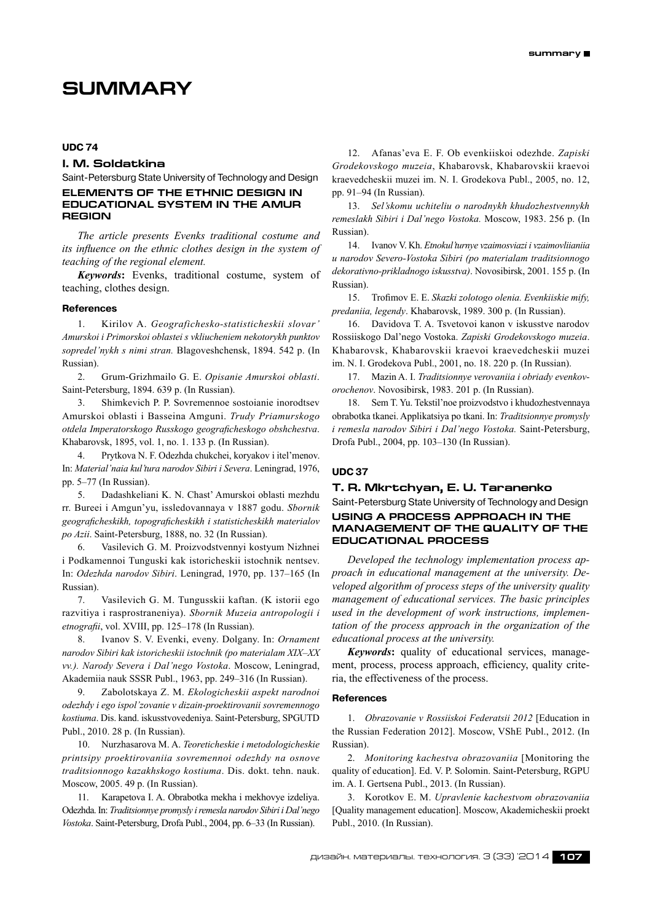# **Summary**

# **UDC 74**

# **I. M. Soldatkina**

Saint-Petersburg State University of Technology and Design

# **ELEMENTS OF THE ETHNIC DESIGN IN EDUCATIONAL SYSTEM IN THE AMUR REGION**

*The article presents Evenks traditional costume and its influence on the ethnic clothes design in the system of teaching of the regional element.*

*Keywords***:** Evenks, traditional costume, system of teaching, clothes design.

#### **References**

1. Kirilov A. *Geografichesko-statisticheskii slovar' Amurskoi i Primorskoi oblastei s vkliucheniem nekotorykh punktov sopredel'nykh s nimi stran.* Blagoveshchensk, 1894. 542 p. (In Russian).

2. Grum-Grizhmailo G. E. *Opisanie Amurskoi oblasti*. Saint-Petersburg, 1894. 639 p. (In Russian).

3. Shimkevich P. P. Sovremennoe sostoianie inorodtsev Amurskoi oblasti i Basseina Amguni.*Trudy Priamurskogo otdela Imperatorskogo Russkogo geograficheskogo obshchestva*. Khabarovsk, 1895, vol. 1, no. 1. 133 p. (In Russian).

4. Prytkova N. F. Odezhda chukchei, koryakov i itel'menov. In: *Material'naia kul'tura narodov Sibiri i Severa*. Leningrad, 1976, pp. 5–77 (In Russian).

5. Dadashkeliani K. N. Chast' Amurskoi oblasti mezhdu rr. Bureei i Amgun'yu, issledovannaya v 1887 godu.*Sbornik geograficheskikh, topograficheskikh i statisticheskikh materialov po Azii*. Saint-Petersburg, 1888, no. 32 (In Russian).

6. Vasilevich G. M. Proizvodstvennyi kostyum Nizhnei i Podkamennoi Tunguski kak istoricheskii istochnik nentsev. In: *Odezhda narodov Sibiri*. Leningrad, 1970, pp. 137–165 (In Russian).

7. Vasilevich G. M. Tungusskii kaftan. (K istorii ego razvitiya i rasprostraneniya).*Sbornik Muzeia antropologii i etnografii*, vol. XVIII, pp. 125–178 (In Russian).

8. Ivanov S. V. Evenki, eveny. Dolgany. In: *Ornament narodov Sibiri kak istoricheskii istochnik (po materialam XIX–XX vv.). Narody Severa i Dal'nego Vostoka*. Moscow, Leningrad, Akademiia nauk SSSR Publ., 1963, pp. 249–316 (In Russian).

9. Zabolotskaya Z. M. *Ekologicheskii aspekt narodnoi odezhdy i ego ispol'zovanie v dizain-proektirovanii sovremennogo kostiuma*. Dis. kand. iskusstvovedeniya. Saint-Petersburg, SPGUTD Publ., 2010. 28 p. (In Russian).

10. Nurzhasarova M. A. *Teoreticheskie i metodologicheskie printsipy proektirovaniia sovremennoi odezhdy na osnove traditsionnogo kazakhskogo kostiuma*. Dis. dokt. tehn. nauk. Moscow, 2005. 49 p. (In Russian).

11. Karapetova I. A. Obrabotka mekha i mekhovye izdeliya. Odezhda. In: *Traditsionnye promysly iremesla narodov Sibiri i Dal'nego Vostoka*. Saint-Petersburg, Drofa Publ., 2004, pp. 6–33 (In Russian).

12. Afanas'eva E. F. Ob evenkiiskoi odezhde.*Zapiski Grodekovskogo muzeia*, Khabarovsk, Khabarovskii kraevoi kraevedcheskii muzei im. N. I. Grodekova Publ., 2005, no. 12, pp. 91–94 (In Russian).

13. *Sel'skomu uchiteliu o narodnykh khudozhestvennykh remeslakh Sibiri i Dal'nego Vostoka.* Moscow, 1983. 256 p. (In Russian).

14. Ivanov V. Kh. *Etnokul'turnye vzaimosviazi i vzaimovliianiia u narodov Severo-Vostoka Sibiri (po materialam traditsionnogo dekorativno-prikladnogo iskusstva)*. Novosibirsk, 2001. 155 p. (In Russian).

15. Trofimov E. E. *Skazki zolotogo olenia. Evenkiiskie mify, predaniia, legendy*. Khabarovsk, 1989. 300 p. (In Russian).

16. Davidova T. A. Tsvetovoi kanon v iskusstve narodov Rossiiskogo Dal'nego Vostoka.*Zapiski Grodekovskogo muzeia*. Khabarovsk, Khabarovskii kraevoi kraevedcheskii muzei im. N. I. Grodekova Publ., 2001, no. 18. 220 p. (In Russian).

17. Mazin A. I. *Traditsionnye verovaniia i obriady evenkovorochenov*. Novosibirsk, 1983. 201 p. (In Russian).

18. Sem T. Yu. Tekstil'noe proizvodstvo i khudozhestvennaya obrabotka tkanei. Applikatsiya po tkani. In: *Traditsionnye promysly i remesla narodov Sibiri i Dal'nego Vostoka.* Saint-Petersburg, Drofa Publ., 2004, pp. 103–130 (In Russian).

#### **UDC 37**

# **T. R. Mkrtchyan, E. U. Taranenko**

Saint-Petersburg State University of Technology and Design **Using a process approach in the**

# **management of the quality of the educational process**

*Developed the technology implementation process approach in educational management at the university. Developed algorithm of process steps of the university quality management of educational services. The basic principles used in the development of work instructions, implementation of the process approach in the organization of the educational process at the university.*

*Keywords***:** quality of educational services, management, process, process approach, efficiency, quality criteria, the effectiveness of the process.

# **References**

1. *Obrazovanie v Rossiiskoi Federatsii 2012* [Education in the Russian Federation 2012]. Moscow, VShE Publ., 2012. (In Russian).

2. *Monitoring kachestva obrazovaniia* [Monitoring the quality of education]. Ed. V. P. Solomin. Saint-Petersburg, RGPU im. A. I. Gertsena Publ., 2013. (In Russian).

3. Korotkov E. M. *Upravlenie kachestvom obrazovaniia* [Quality management education]. Moscow, Akademicheskii proekt Publ., 2010. (In Russian).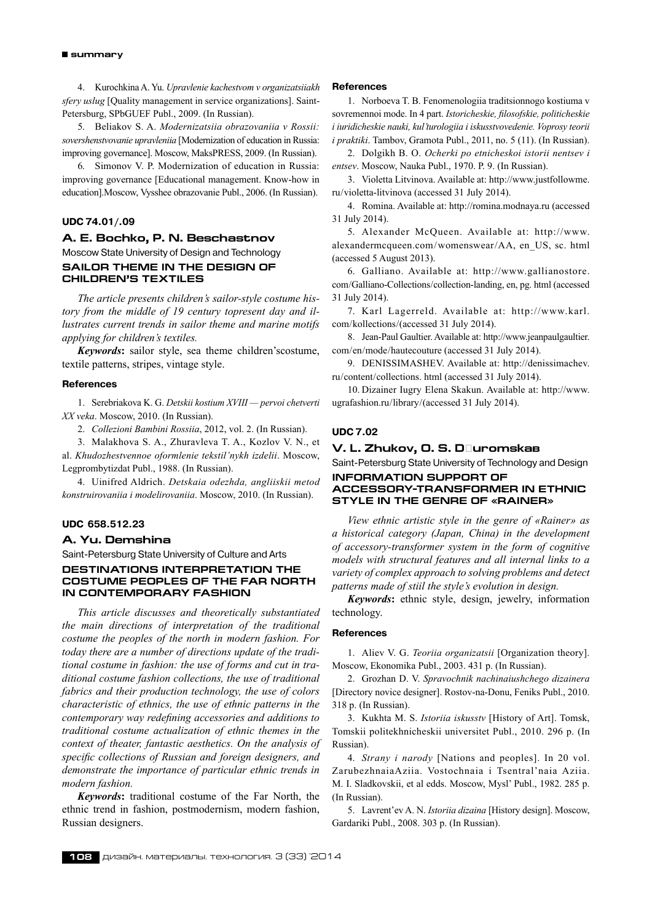4. Kurochkina A. Yu. *Upravlenie kachestvom v organizatsiiakh sfery uslug* [Quality management in service organizations]. Saint-Petersburg, SPbGUEF Publ., 2009. (In Russian).

5. Beliakov S. A. *Modernizatsiia obrazovaniia v Rossii: sovershenstvovanie upravleniia* [Modernization of education in Russia: improving governance]. Moscow, MaksPRESS, 2009. (In Russian).

6. Simonov V. P. Modernization of education in Russia: improving governance [Educational management. Know-how in education].Moscow, Vysshee obrazovanie Publ., 2006. (In Russian).

#### **UDC 74.01/.09**

# **A. E. Bochko, P. N. Beschastnov**

Moscow State University of Design and Technology **Sailor theme in the design of children's textiles**

*The article presents children's sailor-style costume history from the middle of 19 century topresent day and illustrates current trends in sailor theme and marine motifs applying for children's textiles.*

*Keywords***:** sailor style, sea theme children'scostume, textile patterns, stripes, vintage style.

#### **References**

1. Serebriakova K. G. *Detskii kostium XVIII — pervoi chetverti XX veka*. Moscow, 2010. (In Russian).

2. *Collezioni Bambini Rossiia*, 2012, vol. 2. (In Russian).

3. Malakhova S. A., Zhuravleva T. A., Kozlov V. N., et al.*Khudozhestvennoe oformlenie tekstil'nykh izdelii*. Moscow, Legprombytizdat Publ., 1988. (In Russian).

4. Uinifred Aldrich.*Detskaia odezhda, angliiskii metod konstruirovaniia i modelirovaniia*. Moscow, 2010. (In Russian).

# **UDC 658.512.23**

#### **A. Yu. Demshina**

Saint-Petersburg State University of Culture and Arts

# **Destinations interpretation the costume peoples of the Far North in contemporary fashion**

*This article discusses and theoretically substantiated the main directions of interpretation of the traditional costume the peoples of the north in modern fashion. For today there are a number of directions update of the traditional costume in fashion: the use of forms and cut in traditional costume fashion collections, the use of traditional fabrics and their production technology, the use of colors characteristic of ethnics, the use of ethnic patterns in the contemporary way redefining accessories and additions to traditional costume actualization of ethnic themes in the context of theater, fantastic aesthetics. On the analysis of specific collections of Russian and foreign designers, and demonstrate the importance of particular ethnic trends in modern fashion.*

*Keywords***:** traditional costume of the Far North, the ethnic trend in fashion, postmodernism, modern fashion, Russian designers.

#### **References**

1. Norboeva T. B. Fenomenologiia traditsionnogo kostiuma v sovremennoi mode. In 4 part.*Istoricheskie, filosofskie, politicheskie i iuridicheskie nauki, kul'turologiia i iskusstvovedenie. Voprosy teorii i praktiki*. Tambov, Gramota Publ., 2011, no. 5 (11). (In Russian).

2. Dolgikh B. O. *Ocherki po etnicheskoi istorii nentsev i entsev*. Moscow, Nauka Publ., 1970. P. 9. (In Russian).

3. Violetta Litvinova. Available at: http://www.justfollowme. ru/violetta-litvinova (accessed 31 July 2014).

4. Romina. Available at: http://romina.modnaya.ru (accessed 31 July 2014).

5. Alexander McQueen. Available at: http://www. alexandermcqueen.com/womenswear/AA, en\_US, sc. html (accessed 5 August 2013).

6. Galliano. Available at: http://www.gallianostore. com/Galliano-Collections/collection-landing, en, pg. html (accessed 31 July 2014).

7. Karl Lagerreld. Available at: http://www.karl. com/kollections/(accessed 31 July 2014).

8. Jean-Paul Gaultier. Available at: http://www.jeanpaulgaultier. com/en/mode/hautecouture (accessed 31 July 2014).

9. DENISSIMASHEV. Available at: http://denissimachev. ru/content/collections. html (accessed 31 July 2014).

10. Dizainer Iugry Elena Skakun. Available at: http://www. ugrafashion.ru/library/(accessed 31 July 2014).

# **UDC 7.02**

# **V. L. Zhukov, O. S. Džuromskaâ**

Saint-Petersburg State University of Technology and Design **Information support of**

# **accessory-transformer in ethnic style in the genre of «Rainer»**

*View ethnic artistic style in the genre of «Rainer» as a historical category (Japan, China) in the development of accessory-transformer system in the form of cognitive models with structural features and all internal links to a variety of complex approach to solving problems and detect patterns made of stiil the style's evolution in design.*

*Keywords***:** ethnic style, design, jewelry, information technology.

# **References**

1. Aliev V. G. *Teoriia organizatsii* [Organization theory]. Moscow, Ekonomika Publ., 2003. 431 p. (In Russian).

2. Grozhan D. V. *Spravochnik nachinaiushchego dizainera* [Directory novice designer]. Rostov-na-Donu, Feniks Publ., 2010. 318 p. (In Russian).

3. Kukhta M. S. *Istoriia iskusstv* [History of Art]. Tomsk, Tomskii politekhnicheskii universitet Publ., 2010. 296 p. (In Russian).

4. *Strany i narody* [Nations and peoples]. In 20 vol. ZarubezhnaiaAziia. Vostochnaia i Tsentral'naia Aziia. M. I. Sladkovskii, et al edds. Moscow, Mysl' Publ., 1982. 285 p. (In Russian).

5. Lavrent'ev A. N. *Istoriia dizaina* [History design]. Moscow, Gardariki Publ., 2008. 303 p. (In Russian).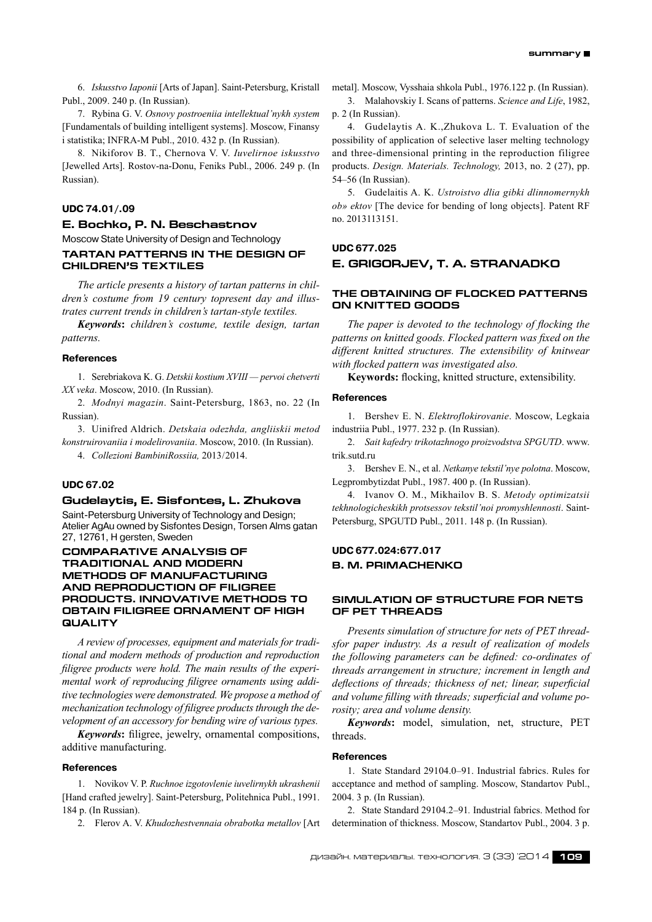6. *Iskusstvo Iaponii* [Arts of Japan]. Saint-Petersburg, Kristall Publ., 2009. 240 p. (In Russian).

7. Rybina G. V. *Osnovy postroeniia intellektual'nykh system* [Fundamentals of building intelligent systems]. Moscow, Finansy i statistika; INFRA-M Publ., 2010. 432 p. (In Russian).

8. Nikiforov B. T., Chernova V. V. *Iuvelirnoe iskusstvo* [Jewelled Arts]. Rostov-na-Donu, Feniks Publ., 2006. 249 p. (In Russian).

# **UDC 74.01/.09**

#### **E. Bochko, P. N. Beschastnov**

Moscow State University of Design and Technology **Tartan patterns in the design of children's textiles**

*The article presents a history of tartan patterns in children's costume from 19 century topresent day and illustrates current trends in children's tartan-style textiles.*

*Keywords***:** *children's costume, textile design, tartan patterns.*

## **References**

1. Serebriakova K. G. *Detskii kostium XVIII — pervoi chetverti XX veka*. Moscow, 2010. (In Russian).

2. *Modnyi magazin*. Saint-Petersburg, 1863, no. 22 (In Russian).

3. Uinifred Aldrich.*Detskaia odezhda, angliiskii metod konstruirovaniia i modelirovaniia*. Moscow, 2010. (In Russian).

4. *Collezioni BambiniRossiia,* 2013/2014.

# **UDC 67.02**

# **Gudelaytis, E. Sisfontes, L. Zhukova**

Saint-Petersburg University of Technology and Design; Atelier AgAu owned by Sisfontes Design, Torsen Alms gatan 27, 12761, H gersten, Sweden

# **COMPARATIVE ANALYSIS OF TRADITIONAL AND MODERN METHODS OF MANUFACTURING AND REPRODUCTION OF FILIGREE PRODUCTS. INNOVATIVE METHODS TO OBTAIN FILIGREE ORNAMENT OF HIGH QUALITY**

*A review of processes, equipment and materials for traditional and modern methods of production and reproduction filigree products were hold. The main results of the experimental work of reproducing filigree ornaments using additive technologies were demonstrated. We propose a method of mechanization technology of filigree products through the development of an accessory for bending wire of various types.*

*Keywords***:** filigree, jewelry, ornamental compositions, additive manufacturing.

#### **References**

1. Novikov V. P. *Ruchnoe izgotovlenie iuvelirnykh ukrashenii* [Hand crafted jewelry]. Saint-Petersburg, Politehnica Publ., 1991. 184 p. (In Russian).

2. Flerov A. V. *Khudozhestvennaia obrabotka metallov* [Art

metal]. Moscow, Vysshaia shkola Publ., 1976.122 p. (In Russian).

3. Malahovskiy I. Scans of patterns.*Science and Life*, 1982, p. 2 (In Russian).

4. Gudelaytis A. K.,Zhukova L. T. Evaluation of the possibility of application of selective laser melting technology and three-dimensional printing in the reproduction filigree products.*Design. Materials. Technology,* 2013, no. 2 (27), pp. 54–56 (In Russian).

5. Gudelaitis A. K. *Ustroistvo dlia gibki dlinnomernykh ob» ektov* [The device for bending of long objects]. Patent RF no. 2013113151.

# **UDC 677.025 E. GRIGORJEV, T. A. STRANADKO**

# **The Obtaining of flocked patterns on knitted goods**

*The paper is devoted to the technology of flocking the patterns on knitted goods. Flocked pattern was fixed on the different knitted structures. The extensibility of knitwear with flocked pattern was investigated also.*

**Keywords:** flocking, knitted structure, extensibility.

#### **References**

1. Bershev E. N. *Elektroflokirovanie*. Moscow, Legkaia industriia Publ., 1977. 232 p. (In Russian).

2. *Sait kafedry trikotazhnogo proizvodstva SPGUTD*. www. trik.sutd.ru

3. Bershev E. N., et al.*Netkanye tekstil'nye polotna*. Moscow, Legprombytizdat Publ., 1987. 400 p. (In Russian).

4. Ivanov O. M., Mikhailov B. S. *Metody optimizatsii tekhnologicheskikh protsessov tekstil'noi promyshlennosti*. Saint-Petersburg, SPGUTD Publ., 2011. 148 p. (In Russian).

# **UDC 677.024:677.017 B. M. Primachenko**

# **Simulation of structure for nets of PET threads**

*Presents simulation of structure for nets of PET threadsfor paper industry. As a result of realization of models the following parameters can be defined: co-ordinates of threads arrangement in structure; increment in length and deflections of threads; thickness of net; linear, superficial and volume filling with threads; superficial and volume porosity; area and volume density.*

*Keywords***:** model, simulation, net, structure, PET threads.

## **References**

1. State Standard 29104.0–91. Industrial fabrics. Rules for acceptance and method of sampling. Moscow, Standartov Publ., 2004. 3 p. (In Russian).

2. State Standard 29104.2–91*.* Industrial fabrics. Method for determination of thickness. Moscow, Standartov Publ., 2004. 3 p.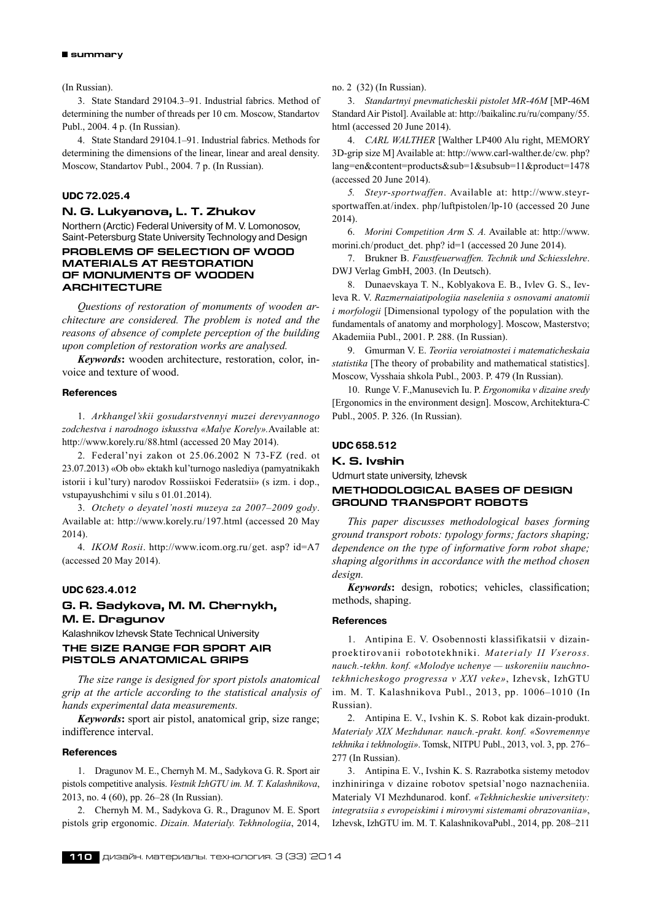#### **summary**

(In Russian).

3. State Standard 29104.3–91. Industrial fabrics. Method of determining the number of threads per 10 cm. Moscow, Standartov Publ., 2004. 4 p. (In Russian).

4. State Standard 29104.1–91. Industrial fabrics. Methods for determining the dimensions of the linear, linear and areal density. Moscow, Standartov Publ., 2004. 7 p. (In Russian).

# **UDC 72.025.4**

# **N. G. Lukyanova, L. T. Zhukov**

Northern (Arctic) Federal University of M. V. Lomonosov, Saint-Petersburg State University Technology and Design **PROBLEMS OF SELECTION OF WOOD** 

# **MATERIALS AT RESTORATION OF MONUMENTS OF WOODEN ARCHITECTURE**

*Questions of restoration of monuments of wooden architecture are considered. The problem is noted and the reasons of absence of complete perception of the building upon completion of restoration works are analysed.*

*Keywords***:** wooden architecture, restoration, color, invoice and texture of wood.

#### **References**

1. *Arkhangel'skii gosudarstvennyi muzei derevyannogo zodchestva i narodnogo iskusstva «Malye Korely».*Available at: http://www.korely.ru/88.html (accessed 20 May 2014).

2. Federal'nyi zakon ot 25.06.2002 N 73‑FZ (red. ot 23.07.2013) «Ob ob» ektakh kul'turnogo naslediya (pamyatnikakh istorii i kul'tury) narodov Rossiiskoi Federatsii» (s izm. i dop., vstupayushchimi v silu s 01.01.2014).

3. *Otchety o deyatel'nosti muzeya za 2007–2009 gody*. Available at: http://www.korely.ru/197.html (accessed 20 May 2014).

4. *IKOM Rosii*.http://www.icom.org.ru/get. asp? id=A7 (accessed 20 May 2014).

#### **UDC 623.4.012**

# **G. R. Sadykova, M. M. Chernykh, M. E. Dragunov**

Kalashnikov Izhevsk State Technical University

# **THE SIZE RANGE FOR SPORT AIR PISTOLS ANATOMICAL GRIPS**

*The size range is designed for sport pistols anatomical grip at the article according to the statistical analysis of hands experimental data measurements.*

*Keywords***:** sport air pistol, anatomical grip, size range; indifference interval.

# **References**

1. Dragunov M. E., Chernyh M. M., Sadykova G. R. Sport air pistols competitive analysis.*Vestnik IzhGTU im. M. T. Kalashnikova*, 2013, no. 4 (60), pp. 26–28 (In Russian).

2. Chernyh M. M., Sadykova G. R., Dragunov M. E. Sport pistols grip ergonomic.*Dizain. Materialy. Tekhnologiia*, 2014, no. 2 (32) (In Russian).

3. *Standartnyi pnevmaticheskii pistolet MR-46M* [MP-46M Standard Air Pistol]. Available at: http://baikalinc.ru/ru/company/55. html (accessed 20 June 2014).

4. *CARL WALTHER* [Walther LP400 Alu right, MEMORY 3D-grip size M] Available at: http://www.carl-walther.de/cw. php? lang=en&content=products&sub=1&subsub=11&product=1478 (accessed 20 June 2014).

*5. Steyr-sportwaffen*. Available at: http://www.steyrsportwaffen.at/index. php/luftpistolen/lp-10 (accessed 20 June 2014).

6. *Morini Competition Arm S. A.* Available at: http://www. morini.ch/product\_det. php? id=1 (accessed 20 June 2014).

7. Brukner B. *Faustfeuerwaffen. Technik und Schiesslehre*. DWJ Verlag GmbH, 2003. (In Deutsch).

8. Dunaevskaya T. N., Koblyakova E. B., Ivlev G. S., Ievleva R. V. *Razmernaiatipologiia naseleniia s osnovami anatomii i morfologii* [Dimensional typology of the population with the fundamentals of anatomy and morphology]. Moscow, Masterstvo; Akademiia Publ., 2001. P. 288. (In Russian).

9. Gmurman V. E. *Teoriia veroiatnostei i matematicheskaia statistika* [The theory of probability and mathematical statistics]. Moscow, Vysshaia shkola Publ., 2003. P. 479 (In Russian).

10. Runge V. F.,Manusevich Iu. P. *Ergonomika v dizaine sredy* [Ergonomics in the environment design]. Moscow, Architektura-C Publ., 2005. P. 326. (In Russian).

#### **UDC 658.512**

**K. S. Ivshin**

Udmurt state university, Izhevsk

# **METHODOLOGICAL bases OF DESIGN GROUND TRANSPORT ROBOTs**

*This paper discusses methodological bases forming ground transport robots: typology forms; factors shaping; dependence on the type of informative form robot shape; shaping algorithms in accordance with the method chosen design.*

*Keywords***:** design, robotics; vehicles, classification; methods, shaping.

#### **References**

1. Antipina E. V. Osobennosti klassifikatsii v dizainproektirovanii robototekhniki.*Materialy I I Vseross. nauch.‑tekhn. konf. «Molodye uchenye — uskoreniiu nauchnotekhnicheskogo progressa v XXI veke»*, Izhevsk, IzhGTU im. M. T. Kalashnikova Publ., 2013, pp. 1006–1010 (In Russian).

2. Antipina E. V., Ivshin K. S. Robot kak dizain-produkt. *Materialy XIX Mezhdunar. nauch.‑prakt. konf. «Sovremennye tekhnika i tekhnologii»*. Tomsk, NITPU Publ., 2013, vol. 3, pp. 276– 277 (In Russian).

3. Antipina E. V., Ivshin K. S. Razrabotka sistemy metodov inzhiniringa v dizaine robotov spetsial'nogo naznacheniia. Materialy VI Mezhdunarod. konf.*«Tekhnicheskie universitety: integratsiia s evropeiskimi i mirovymi sistemami obrazovaniia»*, Izhevsk, IzhGTU im. M. T. KalashnikovaPubl., 2014, pp. 208–211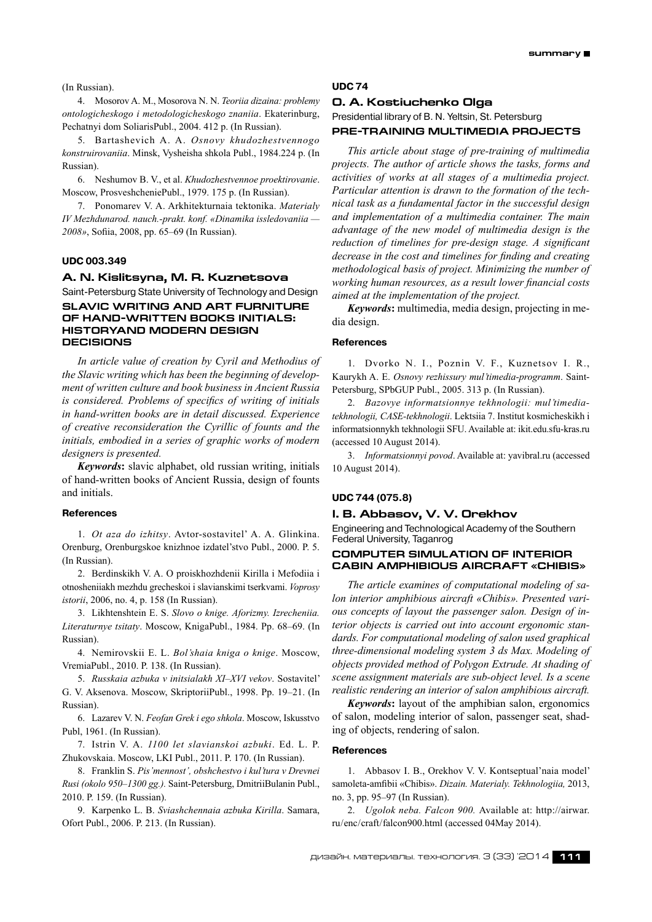(In Russian).

4. Mosorov A. M., Mosorova N. N. *Teoriia dizaina: problemy ontologicheskogo i metodologicheskogo znaniia*. Ekaterinburg, Pechatnyi dom SoliarisPubl., 2004. 412 p. (In Russian).

5. Bartashevich A. A. *Osnovy khudozhestvennogo konstruirovaniia*. Minsk, Vysheisha shkola Publ., 1984.224 p. (In Russian).

6. Neshumov B. V., et al.*Khudozhestvennoe proektirovanie*. Moscow, ProsveshcheniePubl., 1979. 175 p. (In Russian).

7. Ponomarev V. A. Arkhitekturnaia tektonika.*Materialy IV Mezhdunarod. nauch.‑prakt. konf. «Dinamika issledovaniia — 2008»*, Sofiia, 2008, pp. 65–69 (In Russian).

# **UDC 003.349**

#### **A. N. Kislitsyna, M. R. Kuznetsova**

Saint-Petersburg State University of Technology and Design **SLAVIC WRITING AND ART FURNITURE OF HAND-WRITTEN BOOKS INITIALS: HISTORYAND MODERN DESIGN DECISIONS**

*In article value of creation by Cyril and Methodius of the Slavic writing which has been the beginning of development of written culture and book business in Ancient Russia is considered. Problems of specifics of writing of initials in hand-written books are in detail discussed. Experience of creative reconsideration the Cyrillic of founts and the initials, embodied in a series of graphic works of modern designers is presented.*

*Keywords***:** slavic alphabet, old russian writing, initials of hand-written books of Ancient Russia, design of founts and initials.

#### **References**

1. *Ot aza do izhitsy*. Avtor-sostavitel' A. A. Glinkina. Orenburg, Orenburgskoe knizhnoe izdatel'stvo Publ., 2000. P. 5. (In Russian).

2. Berdinskikh V. A. O proiskhozhdenii Kirilla i Mefodiia i otnosheniiakh mezhdu grecheskoi i slavianskimi tserkvami.*Voprosy istorii*, 2006, no. 4, p. 158 (In Russian).

3. Likhtenshtein E. S. *Slovo o knige. Aforizmy. Izrecheniia. Literaturnye tsitaty*. Moscow, KnigaPubl., 1984. Pp. 68–69. (In Russian).

4. Nemirovskii E. L. *Bol'shaia kniga o knige*. Moscow, VremiaPubl., 2010. P. 138. (In Russian).

5. *Russkaia azbuka v initsialakh XI–XVI vekov*. Sostavitel' G. V. Aksenova. Moscow, SkriptoriiPubl., 1998. Pp. 19–21. (In Russian).

6. Lazarev V. N. *Feofan Grek i ego shkola*. Moscow, Iskusstvo Publ, 1961. (In Russian).

7. Istrin V. A.*1100 let slavianskoi azbuki*. Ed. L. P. Zhukovskaia. Moscow, LKI Publ., 2011. P. 170. (In Russian).

8. Franklin S. *Pis'mennost', obshchestvo i kul'tura v Drevnei Rusi (okolo 950–1300 gg.).* Saint-Petersburg, DmitriiBulanin Publ., 2010. P. 159. (In Russian).

9. Karpenko L. B. *Sviashchennaia azbuka Kirilla*. Samara, Ofort Publ., 2006. P. 213. (In Russian).

#### **UDC 74**

#### **O. A. Kostiuchenko Olga**

Presidential library of B. N. Yeltsin, St. Petersburg **Pre-training multimedia projects**

*This article about stage of pre-training of multimedia projects. The author of article shows the tasks, forms and activities of works at all stages of a multimedia project. Particular attention is drawn to the formation of the technical task as a fundamental factor in the successful design and implementation of a multimedia container. The main advantage of the new model of multimedia design is the reduction of timelines for pre-design stage. A significant decrease in the cost and timelines for finding and creating methodological basis of project. Minimizing the number of working human resources, as a result lower financial costs aimed at the implementation of the project.*

*keywords***:** multimedia, media design, projecting in media design.

#### **References**

1. Dvorko N. I., Poznin V. F., Kuznetsov I. R., Kaurykh A. E. *Osnovy rezhissury mul'timedia-programm*. Saint-Petersburg, SPbGUP Publ., 2005. 313 p. (In Russian).

2. *Bazovye informatsionnye tekhnologii: mul'timediatekhnologii, CASE-tekhnologii*. Lektsiia 7. Institut kosmicheskikh i informatsionnykh tekhnologii SFU. Available at: ikit.edu.sfu-kras.ru (accessed 10 August 2014).

3. *Informatsionnyi povod*. Available at: yavibral.ru (accessed 10 August 2014).

# **UDC 744 (075.8)**

# **I. B. Abbasov, V. V. Orekhov**

Engineering and Technological Academy of the Southern Federal University, Taganrog

# **COMPUTER SIMULATION OF INTERIOR CABIN amphibious aircraft «CHIBIS»**

*The article examines of computational modeling of salon interior amphibious aircraft «Chibis». Presented various concepts of layout the passenger salon. Design of interior objects is carried out into account ergonomic standards. For computational modeling of salon used graphical three-dimensional modeling system 3 ds Max. Modeling of objects provided method of Polygon Extrude. At shading of scene assignment materials are sub-object level. Is a scene realistic rendering an interior of salon amphibious aircraft.*

*Keywords***:** layout of the amphibian salon, ergonomics of salon, modeling interior of salon, passenger seat, shading of objects, rendering of salon.

#### **References**

1. Abbasov I. B., Orekhov V. V. Kontseptual'naia model' samoleta-amfibii «Chibis».*Dizain. Materialy. Tekhnologiia,* 2013, no. 3, pp. 95–97 (In Russian).

2. *Ugolok neba. Falcon 900.* Available at: http://airwar. ru/enc/craft/falcon900.html (accessed 04May 2014).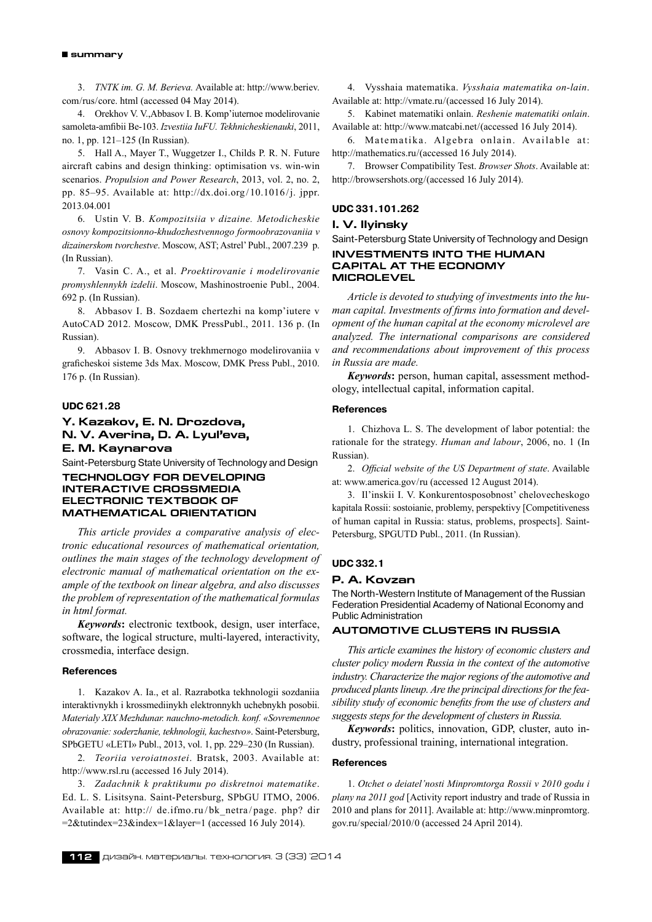#### **summary**

3. *TNTK im. G. M. Berieva.* Available at: http://www.beriev. com/rus/core. html (accessed 04 May 2014).

4. Orekhov V. V.,Abbasov I. B. Komp'iuternoe modelirovanie samoleta-amfibii Be-103.*Izvestiia IuFU. Tekhnicheskienauki*, 2011, no. 1, pp. 121–125 (In Russian).

5. Hall A., Mayer T., Wuggetzer I., Childs P. R. N. Future aircraft cabins and design thinking: optimisation vs. win-win scenarios.*Propulsion and Power Research*, 2013, vol. 2, no. 2, pp. 85–95. Available at: http://dx.doi.org/10.1016/j. jppr. 2013.04.001

6. Ustin V. B. *Kompozitsiia v dizaine. Metodicheskie osnovy kompozitsionno-khudozhestvennogo formoobrazovaniia v dizainerskom tvorchestve*. Moscow, AST; Astrel' Publ., 2007.239 p. (In Russian).

7. Vasin C. A., et al.*Proektirovanie i modelirovanie promyshlennykh izdelii*. Moscow, Mashinostroenie Publ., 2004. 692 p. (In Russian).

8. Abbasov I. B. Sozdaem chertezhi na komp'iutere v AutoCAD 2012. Moscow, DMK PressPubl., 2011. 136 p. (In Russian).

9. Abbasov I. B. Osnovy trekhmernogo modelirovaniia v graficheskoi sisteme 3ds Max. Moscow, DMK Press Publ., 2010. 176 p. (In Russian).

# **UDC 621.28**

# **Y. Kazakov, E. N. Drozdova, N. V. Averina, D. A. Lyul'eva, E. M. Kaynarova**

Saint-Petersburg State University of Technology and Design

# **TECHNOLOGY FOR DEVELOPING INTERACTIVE CROSSMEDIA ELECTRONIC TEXTBOOK OF MATHEMATICAL ORIENTATION**

*This article provides a comparative analysis of electronic educational resources of mathematical orientation, outlines the main stages of the technology development of electronic manual of mathematical orientation on the example of the textbook on linear algebra, and also discusses the problem of representation of the mathematical formulas in html format.*

*Keywords***:** electronic textbook, design, user interface, software, the logical structure, multi-layered, interactivity, crossmedia, interface design.

# **References**

1. Kazakov A. Ia., et al. Razrabotka tekhnologii sozdaniia interaktivnykh i krossmediinykh elektronnykh uchebnykh posobii. *Materialy XIX Mezhdunar. nauchno-metodich. konf. «Sovremennoe obrazovanie: soderzhanie, tekhnologii, kachestvo»*. Saint-Petersburg, SPbGETU «LETI» Publ., 2013, vol. 1, pp. 229–230 (In Russian).

2. *Teoriia veroiatnostei*. Bratsk, 2003. Available at: http://www.rsl.ru (accessed 16 July 2014).

3. *Zadachnik k praktikumu po diskretnoi matematike*. Ed. L. S. Lisitsyna. Saint-Petersburg, SPbGU ITMO, 2006. Available at: http:// de.ifmo.ru/bk\_netra/page. php? dir  $=2$ &tutindex=23&index=1&layer=1 (accessed 16 July 2014).

4. Vysshaia matematika.*Vysshaia matematika on-lain*. Available at: http://vmate.ru/(accessed 16 July 2014).

5. Kabinet matematiki onlain.*Reshenie matematiki onlain*. Available at: http://www.matcabi.net/(accessed 16 July 2014).

6. Matematika. Algebra onlain. Available at: http://mathematics.ru/(accessed 16 July 2014).

7. Browser Compatibility Test.*Browser Shots*. Available at: http://browsershots.org/(accessed 16 July 2014).

# **UDC 331.101.262**

# **I. V. Ilyinsky**

Saint-Petersburg State University of Technology and Design **INVESTMENTS INTO THE HUMAN CAPITAL AT THE ECONOMY MICROLEVEL**

*Article is devoted to studying of investments into the human capital. Investments of firms into formation and development of the human capital at the economy microlevel are analyzed. The international comparisons are considered and recommendations about improvement of this process in Russia are made.*

*Keywords***:** person, human capital, assessment methodology, intellectual capital, information capital.

# **References**

1. Chizhova L. S. The development of labor potential: the rationale for the strategy.*Human and labour*, 2006, no. 1 (In Russian).

2. *Official website of the US Department of state*. Available at: www.america.gov/ru (accessed 12 August 2014).

3. Il'inskii I. V. Konkurentosposobnost' chelovecheskogo kapitala Rossii: sostoianie, problemy, perspektivy [Competitiveness of human capital in Russia: status, problems, prospects]. Saint-Petersburg, SPGUTD Publ., 2011. (In Russian).

# **UDC 332.1**

#### **P. A. Kovzan**

The North-Western Institute of Management of the Russian Federation Presidential Academy of National Economy and Public Administration

# **Automotive clusters in Russia**

*This article examines the history of economic clusters and cluster policy modern Russia in the context of the automotive industry. Characterize the majorregions of the automotive and produced plants lineup. Are the principal directions for the feasibility study of economic benefits from the use of clusters and suggests steps for the development of clusters in Russia.*

*Keywords***:** politics, innovation, GDP, cluster, auto industry, professional training, international integration.

# **References**

1. *Otchet o deiatel'nosti Minpromtorga Rossii v 2010 godu i plany na 2011 god* [Activity report industry and trade of Russia in 2010 and plans for 2011]. Available at: http://www.minpromtorg. gov.ru/special/2010/0 (accessed 24 April 2014).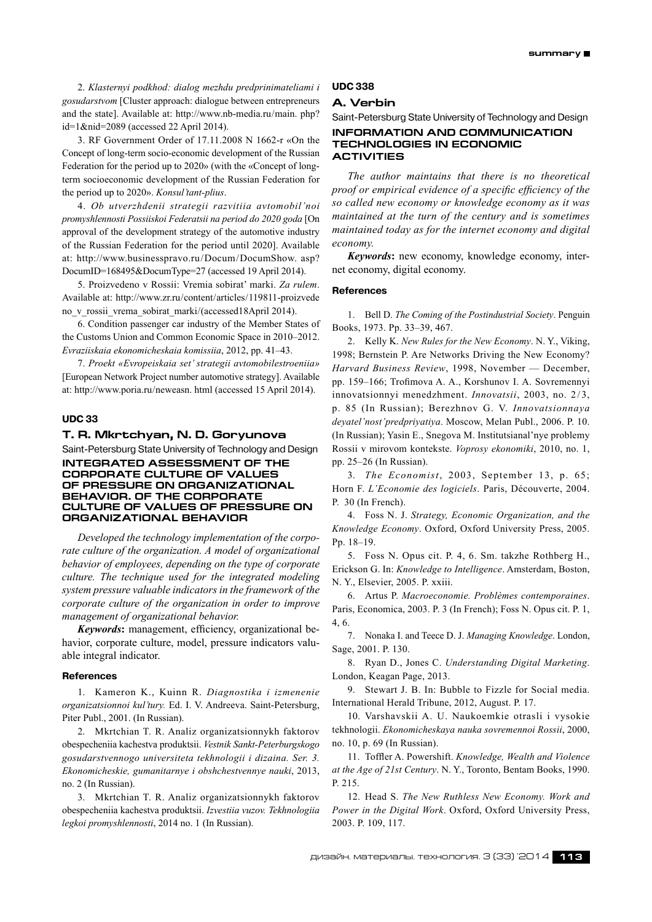2. *Klasternyi podkhod: dialog mezhdu predprinimateliami i gosudarstvom* [Cluster approach: dialogue between entrepreneurs and the state]. Available at: http://www.nb-media.ru/main. php? id=1&nid=2089 (accessed 22 April 2014).

3. RF Government Order of 17.11.2008 N 1662‑r «On the Concept of long-term socio-economic development of the Russian Federation for the period up to 2020» (with the «Concept of longterm socioeconomic development of the Russian Federation for the period up to 2020».*Konsul'tant-plius*.

4. *Ob utverzhdenii strategii razvitiia avtomobil'noi promyshlennosti Possiiskoi Federatsii na period do 2020 goda* [On approval of the development strategy of the automotive industry of the Russian Federation for the period until 2020]. Available at: http://www.businesspravo.ru/Docum/DocumShow. asp? DocumID=168495&DocumType=27 (accessed 19 April 2014).

5. Proizvedeno v Rossii: Vremia sobirat' marki.*Za rulem*. Available at: http://www.zr.ru/content/articles/119811-proizvede no\_v\_rossii\_vrema\_sobirat\_marki/(accessed18April 2014).

6. Condition passenger car industry of the Member States of the Customs Union and Common Economic Space in 2010–2012. *Evraziiskaia ekonomicheskaia komissiia*, 2012, pp. 41–43.

7. *Proekt «Evropeiskaia set' strategii avtomobilestroeniia»* [European Network Project number automotive strategy]. Available at: http://www.poria.ru/neweasn. html (accessed 15 April 2014).

#### **UDC 33**

#### **T. R. Mkrtchyan, N. D. Goryunova**

Saint-Petersburg State University of Technology and Design **Integrated assessment of the corporate culture of values of pressure on organizational behavior. of the corporate culture of values of pressure on organizational behavior**

*Developed the technology implementation of the corporate culture of the organization. A model of organizational behavior of employees, depending on the type of corporate culture. The technique used for the integrated modeling system pressure valuable indicators in the framework of the corporate culture of the organization in order to improve management of organizational behavior.*

*Keywords***:** management, efficiency, organizational behavior, corporate culture, model, pressure indicators valuable integral indicator.

#### **References**

1. Kameron K., Kuinn R. *Diagnostika i izmenenie organizatsionnoi kul'tury.* Ed. I. V. Andreeva. Saint-Petersburg, Piter Publ., 2001. (In Russian).

2. Mkrtchian T. R. Analiz organizatsionnykh faktorov obespecheniia kachestva produktsii.*Vestnik Sankt-Peterburgskogo gosudarstvennogo universiteta tekhnologii i dizaina. Ser. 3. Ekonomicheskie, gumanitarnye i obshchestvennye nauki*, 2013, no. 2 (In Russian).

3. Mkrtchian T. R. Analiz organizatsionnykh faktorov obespecheniia kachestva produktsii.*Izvestiia vuzov. Tekhnologiia legkoi promyshlennosti*, 2014 no. 1 (In Russian).

# **UDC 338**

# **A. Verbin**

Saint-Petersburg State University of Technology and Design **INFORMATION AND COMMUNICATION TECHNOLOGIES IN ECONOMIC** 

# **ACTIVITIES** *The author maintains that there is no theoretical proof or empirical evidence of a specific efficiency of the*

*so called new economy or knowledge economy as it was maintained at the turn of the century and is sometimes maintained today as for the internet economy and digital economy.*

*Keywords***:** new economy, knowledge economy, internet economy, digital economy.

#### **References**

1. Bell D. *The Coming of the Postindustrial Society*. Penguin Books, 1973. Pp. 33–39, 467.

2. Kelly K. *New Rules for the New Economy*. N. Y., Viking, 1998; Bernstein P. Are Networks Driving the New Economy? *Harvard Business Review*, 1998, November — December, pp. 159–166; Trofimova A. A., Korshunov I. A. Sovremennyi innovatsionnyi menedzhment. *Innovatsii*, 2003, no. 2/3, p. 85 (In Russian); Berezhnov G. V. *Innovatsionnaya deyatel'nost'predpriyatiya*. Moscow, Melan Publ., 2006. P. 10. (In Russian); Yasin E., Snegova M. Institutsianal'nye problemy Rossii v mirovom kontekste.*Voprosy ekonomiki*, 2010, no. 1, pp. 25–26 (In Russian).

3. *The Economist*, 2003, September 13, p. 65; Horn F. *L'Economie des logiciels*. Paris, Découverte, 2004. P. 30 (In French).

4. Foss N. J. *Strategy, Economic Organization, and the Knowledge Economy*. Oxford, Oxford University Press, 2005. Pp. 18–19.

5. Foss N. Opus cit. P. 4, 6. Sm. takzhe Rothberg H., Erickson G. In: *Knowledge to Intelligence*. Amsterdam, Boston, N. Y., Elsevier, 2005. P. xxiii.

6. Artus P. *Macroeconomie. Problèmes contemporaines*. Paris, Economica, 2003. P. 3 (In French); Foss N. Opus cit. P. 1, 4, 6.

7. Nonaka I. and Teece D. J. *Managing Knowledge*. London, Sage, 2001. P. 130.

8. Ryan D., Jones C. *Understanding Digital Marketing*. London, Keagan Page, 2013.

9. Stewart J. B. In: Bubble to Fizzle for Social media. International Herald Tribune, 2012, August. P. 17.

10. Varshavskii A. U. Naukoemkie otrasli i vysokie tekhnologii.*Ekonomicheskaya nauka sovremennoi Rossii*, 2000, no. 10, p. 69 (In Russian).

11. Toffler A. Powershift.*Knowledge, Wealth and Violence at the Age of 21st Century*. N. Y., Toronto, Bentam Books, 1990. P. 215.

12. Head S. *The New Ruthless New Economy. Work and Power in the Digital Work*. Oxford, Oxford University Press, 2003. P. 109, 117.